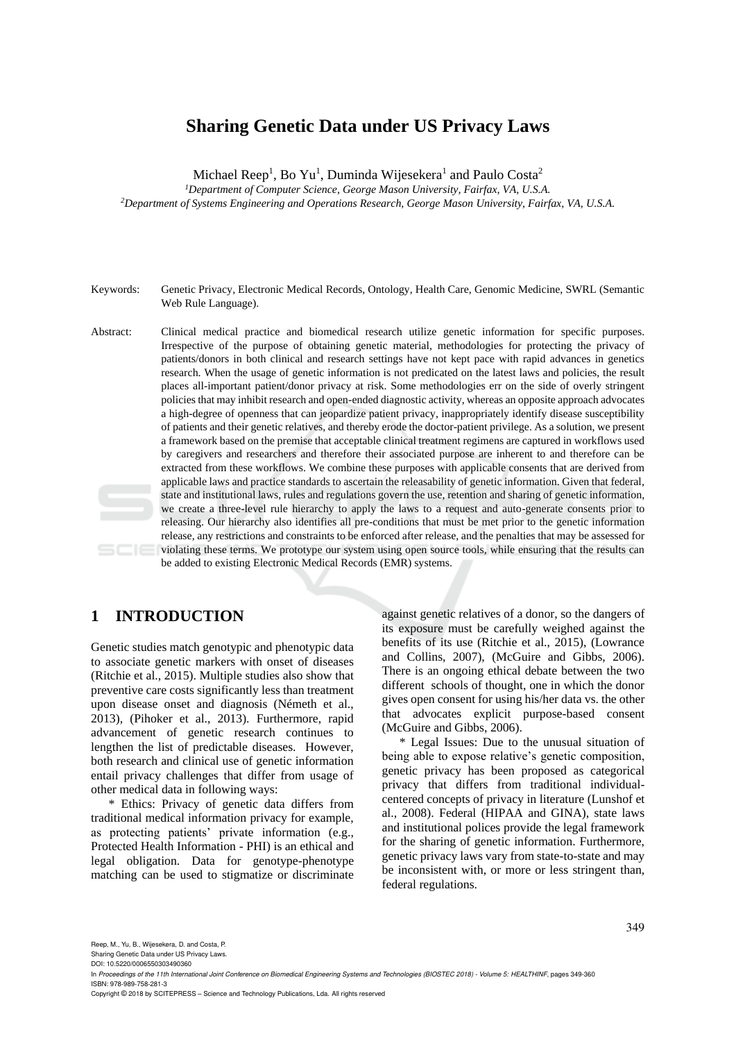# **Sharing Genetic Data under US Privacy Laws**

Michael Reep<sup>1</sup>, Bo Yu<sup>1</sup>, Duminda Wijesekera<sup>1</sup> and Paulo Costa<sup>2</sup>

*<sup>1</sup>Department of Computer Science, George Mason University, Fairfax, VA, U.S.A. <sup>2</sup>Department of Systems Engineering and Operations Research, George Mason University, Fairfax, VA, U.S.A.*

- Keywords: Genetic Privacy, Electronic Medical Records, Ontology, Health Care, Genomic Medicine, SWRL (Semantic Web Rule Language).
- Abstract: Clinical medical practice and biomedical research utilize genetic information for specific purposes. Irrespective of the purpose of obtaining genetic material, methodologies for protecting the privacy of patients/donors in both clinical and research settings have not kept pace with rapid advances in genetics research. When the usage of genetic information is not predicated on the latest laws and policies, the result places all-important patient/donor privacy at risk. Some methodologies err on the side of overly stringent policies that may inhibit research and open-ended diagnostic activity, whereas an opposite approach advocates a high-degree of openness that can jeopardize patient privacy, inappropriately identify disease susceptibility of patients and their genetic relatives, and thereby erode the doctor-patient privilege. As a solution, we present a framework based on the premise that acceptable clinical treatment regimens are captured in workflows used by caregivers and researchers and therefore their associated purpose are inherent to and therefore can be extracted from these workflows. We combine these purposes with applicable consents that are derived from applicable laws and practice standards to ascertain the releasability of genetic information. Given that federal, state and institutional laws, rules and regulations govern the use, retention and sharing of genetic information, we create a three-level rule hierarchy to apply the laws to a request and auto-generate consents prior to releasing. Our hierarchy also identifies all pre-conditions that must be met prior to the genetic information release, any restrictions and constraints to be enforced after release, and the penalties that may be assessed for violating these terms. We prototype our system using open source tools, while ensuring that the results can be added to existing Electronic Medical Records (EMR) systems.

# **1 INTRODUCTION**

Genetic studies match genotypic and phenotypic data to associate genetic markers with onset of diseases (Ritchie et al., 2015). Multiple studies also show that preventive care costs significantly less than treatment upon disease onset and diagnosis (Németh et al., 2013), (Pihoker et al., 2013). Furthermore, rapid advancement of genetic research continues to lengthen the list of predictable diseases. However, both research and clinical use of genetic information entail privacy challenges that differ from usage of other medical data in following ways:

\* Ethics: Privacy of genetic data differs from traditional medical information privacy for example, as protecting patients' private information (e.g., Protected Health Information - PHI) is an ethical and legal obligation. Data for genotype-phenotype matching can be used to stigmatize or discriminate

against genetic relatives of a donor, so the dangers of its exposure must be carefully weighed against the benefits of its use (Ritchie et al., 2015), (Lowrance and Collins, 2007), (McGuire and Gibbs, 2006). There is an ongoing ethical debate between the two different schools of thought, one in which the donor gives open consent for using his/her data vs. the other that advocates explicit purpose-based consent (McGuire and Gibbs, 2006).

\* Legal Issues: Due to the unusual situation of being able to expose relative's genetic composition, genetic privacy has been proposed as categorical privacy that differs from traditional individualcentered concepts of privacy in literature (Lunshof et al., 2008). Federal (HIPAA and GINA), state laws and institutional polices provide the legal framework for the sharing of genetic information. Furthermore, genetic privacy laws vary from state-to-state and may be inconsistent with, or more or less stringent than, federal regulations.

Sharing Genetic Data under US Privacy Laws. DOI: 10.5220/0006550303490360

Copyright © 2018 by SCITEPRESS – Science and Technology Publications, Lda. All rights reserved

In *Proceedings of the 11th International Joint Conference on Biomedical Engineering Systems and Technologies (BIOSTEC 2018) - Volume 5: HEALTHINF*, pages 349-360 ISBN: 978-989-758-281-3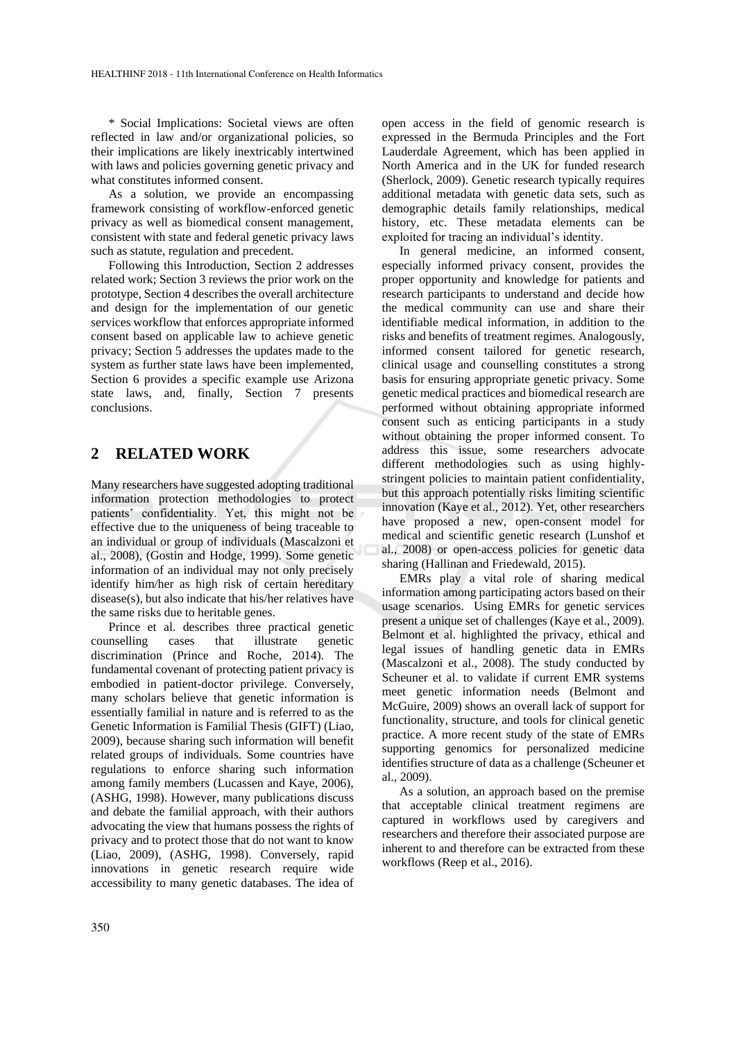\* Social Implications: Societal views are often reflected in law and/or organizational policies, so their implications are likely inextricably intertwined with laws and policies governing genetic privacy and what constitutes informed consent.

As a solution, we provide an encompassing framework consisting of workflow-enforced genetic privacy as well as biomedical consent management, consistent with state and federal genetic privacy laws such as statute, regulation and precedent.

Following this Introduction, Section 2 addresses related work; Section 3 reviews the prior work on the prototype, Section 4 describes the overall architecture and design for the implementation of our genetic services workflow that enforces appropriate informed consent based on applicable law to achieve genetic privacy; Section 5 addresses the updates made to the system as further state laws have been implemented, Section 6 provides a specific example use Arizona state laws, and, finally, Section 7 presents conclusions.

## **2 RELATED WORK**

Many researchers have suggested adopting traditional information protection methodologies to protect patients' confidentiality. Yet, this might not be effective due to the uniqueness of being traceable to an individual or group of individuals (Mascalzoni et al., 2008), (Gostin and Hodge, 1999). Some genetic information of an individual may not only precisely identify him/her as high risk of certain hereditary disease(s), but also indicate that his/her relatives have the same risks due to heritable genes.

Prince et al. describes three practical genetic counselling cases that illustrate genetic discrimination (Prince and Roche, 2014). The fundamental covenant of protecting patient privacy is embodied in patient-doctor privilege. Conversely, many scholars believe that genetic information is essentially familial in nature and is referred to as the Genetic Information is Familial Thesis (GIFT) (Liao, 2009), because sharing such information will benefit related groups of individuals. Some countries have regulations to enforce sharing such information among family members (Lucassen and Kaye, 2006), (ASHG, 1998). However, many publications discuss and debate the familial approach, with their authors advocating the view that humans possess the rights of privacy and to protect those that do not want to know (Liao, 2009), (ASHG, 1998). Conversely, rapid innovations in genetic research require wide accessibility to many genetic databases. The idea of

open access in the field of genomic research is expressed in the Bermuda Principles and the Fort Lauderdale Agreement, which has been applied in North America and in the UK for funded research (Sherlock, 2009). Genetic research typically requires additional metadata with genetic data sets, such as demographic details family relationships, medical history, etc. These metadata elements can be exploited for tracing an individual's identity.

In general medicine, an informed consent, especially informed privacy consent, provides the proper opportunity and knowledge for patients and research participants to understand and decide how the medical community can use and share their identifiable medical information, in addition to the risks and benefits of treatment regimes. Analogously, informed consent tailored for genetic research, clinical usage and counselling constitutes a strong basis for ensuring appropriate genetic privacy. Some genetic medical practices and biomedical research are performed without obtaining appropriate informed consent such as enticing participants in a study without obtaining the proper informed consent. To address this issue, some researchers advocate different methodologies such as using highlystringent policies to maintain patient confidentiality, but this approach potentially risks limiting scientific innovation (Kaye et al., 2012). Yet, other researchers have proposed a new, open-consent model for medical and scientific genetic research (Lunshof et al., 2008) or open-access policies for genetic data sharing (Hallinan and Friedewald, 2015).

EMRs play a vital role of sharing medical information among participating actors based on their usage scenarios. Using EMRs for genetic services present a unique set of challenges (Kaye et al., 2009). Belmont et al. highlighted the privacy, ethical and legal issues of handling genetic data in EMRs (Mascalzoni et al., 2008). The study conducted by Scheuner et al. to validate if current EMR systems meet genetic information needs (Belmont and McGuire, 2009) shows an overall lack of support for functionality, structure, and tools for clinical genetic practice. A more recent study of the state of EMRs supporting genomics for personalized medicine identifies structure of data as a challenge (Scheuner et al., 2009).

As a solution, an approach based on the premise that acceptable clinical treatment regimens are captured in workflows used by caregivers and researchers and therefore their associated purpose are inherent to and therefore can be extracted from these workflows (Reep et al., 2016).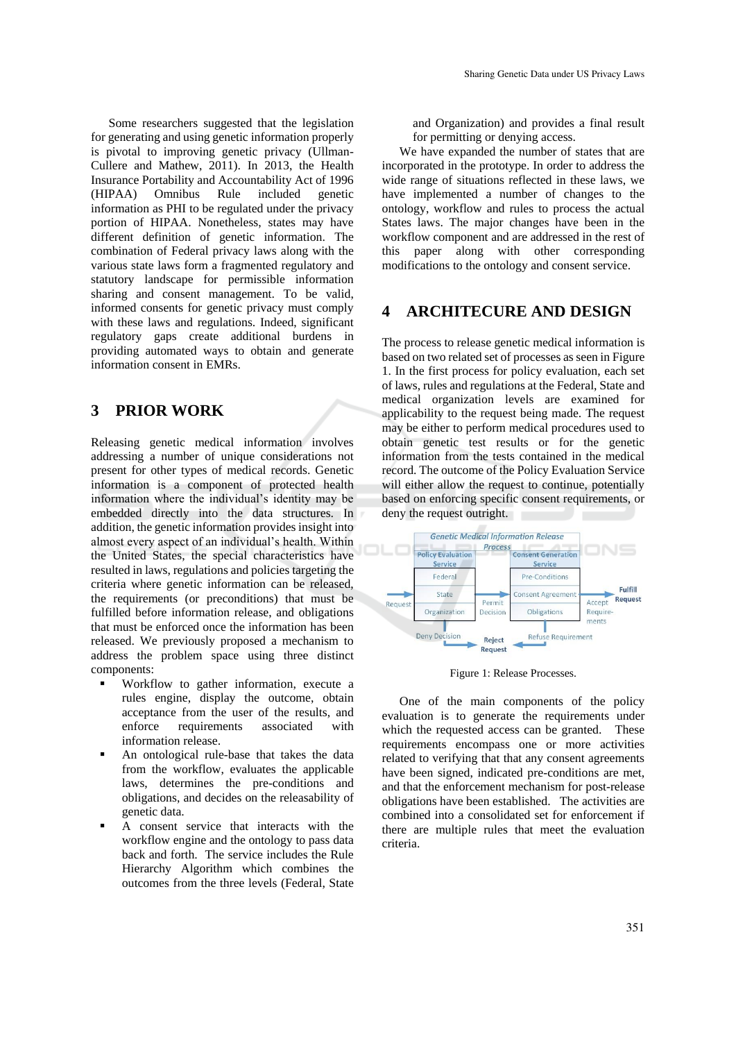Some researchers suggested that the legislation for generating and using genetic information properly is pivotal to improving genetic privacy (Ullman-Cullere and Mathew, 2011). In 2013, the Health Insurance Portability and Accountability Act of 1996 (HIPAA) Omnibus Rule included genetic information as PHI to be regulated under the privacy portion of HIPAA. Nonetheless, states may have different definition of genetic information. The combination of Federal privacy laws along with the various state laws form a fragmented regulatory and statutory landscape for permissible information sharing and consent management. To be valid, informed consents for genetic privacy must comply with these laws and regulations. Indeed, significant regulatory gaps create additional burdens in providing automated ways to obtain and generate information consent in EMRs.

## **3 PRIOR WORK**

Releasing genetic medical information involves addressing a number of unique considerations not present for other types of medical records. Genetic information is a component of protected health information where the individual's identity may be embedded directly into the data structures. In addition, the genetic information provides insight into almost every aspect of an individual's health. Within the United States, the special characteristics have resulted in laws, regulations and policies targeting the criteria where genetic information can be released, the requirements (or preconditions) that must be fulfilled before information release, and obligations that must be enforced once the information has been released. We previously proposed a mechanism to address the problem space using three distinct components:

- Workflow to gather information, execute a rules engine, display the outcome, obtain acceptance from the user of the results, and enforce requirements associated with information release.
- An ontological rule-base that takes the data from the workflow, evaluates the applicable laws, determines the pre-conditions and obligations, and decides on the releasability of genetic data.
- A consent service that interacts with the workflow engine and the ontology to pass data back and forth. The service includes the Rule Hierarchy Algorithm which combines the outcomes from the three levels (Federal, State

and Organization) and provides a final result for permitting or denying access.

We have expanded the number of states that are incorporated in the prototype. In order to address the wide range of situations reflected in these laws, we have implemented a number of changes to the ontology, workflow and rules to process the actual States laws. The major changes have been in the workflow component and are addressed in the rest of this paper along with other corresponding modifications to the ontology and consent service.

## **4 ARCHITECURE AND DESIGN**

The process to release genetic medical information is based on two related set of processes as seen in Figure 1. In the first process for policy evaluation, each set of laws, rules and regulations at the Federal, State and medical organization levels are examined for applicability to the request being made. The request may be either to perform medical procedures used to obtain genetic test results or for the genetic information from the tests contained in the medical record. The outcome of the Policy Evaluation Service will either allow the request to continue, potentially based on enforcing specific consent requirements, or deny the request outright.



Figure 1: Release Processes.

One of the main components of the policy evaluation is to generate the requirements under which the requested access can be granted. These requirements encompass one or more activities related to verifying that that any consent agreements have been signed, indicated pre-conditions are met, and that the enforcement mechanism for post-release obligations have been established. The activities are combined into a consolidated set for enforcement if there are multiple rules that meet the evaluation criteria.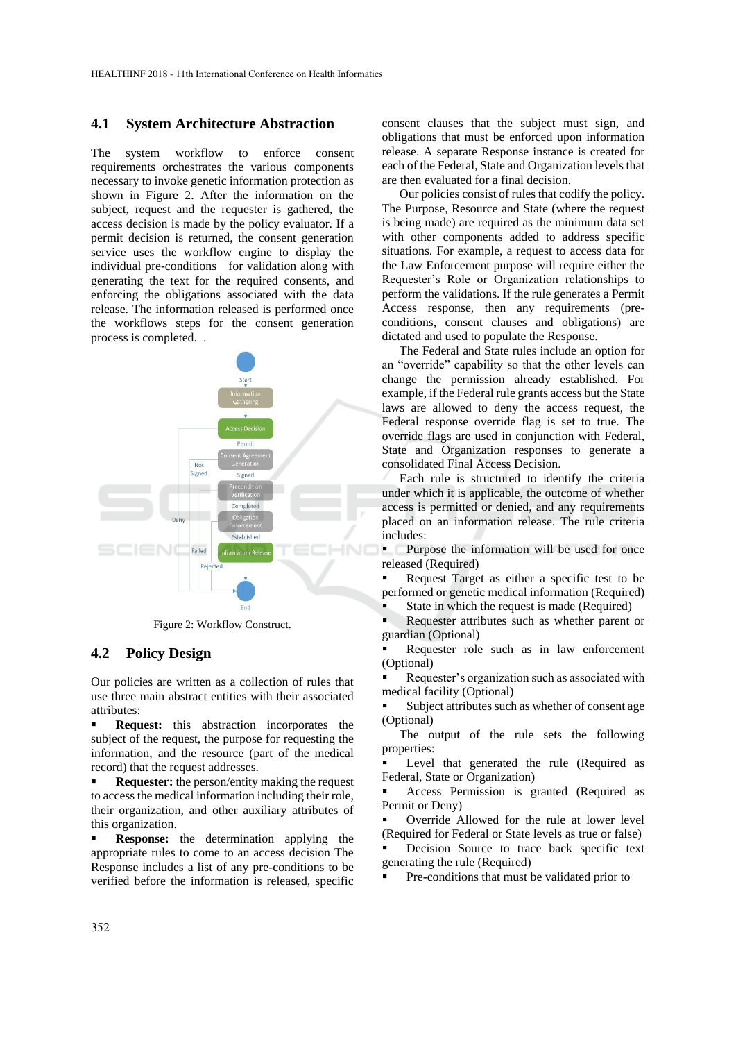#### **4.1 System Architecture Abstraction**

The system workflow to enforce consent requirements orchestrates the various components necessary to invoke genetic information protection as shown in Figure 2. After the information on the subject, request and the requester is gathered, the access decision is made by the policy evaluator. If a permit decision is returned, the consent generation service uses the workflow engine to display the individual pre-conditions for validation along with generating the text for the required consents, and enforcing the obligations associated with the data release. The information released is performed once the workflows steps for the consent generation process is completed. .



Figure 2: Workflow Construct.

#### **4.2 Policy Design**

Our policies are written as a collection of rules that use three main abstract entities with their associated attributes:

**• Request:** this abstraction incorporates the subject of the request, the purpose for requesting the information, and the resource (part of the medical record) that the request addresses.

**Requester:** the person/entity making the request to access the medical information including their role, their organization, and other auxiliary attributes of this organization.

**Response:** the determination applying the appropriate rules to come to an access decision The Response includes a list of any pre-conditions to be verified before the information is released, specific consent clauses that the subject must sign, and obligations that must be enforced upon information release. A separate Response instance is created for each of the Federal, State and Organization levels that are then evaluated for a final decision.

Our policies consist of rules that codify the policy. The Purpose, Resource and State (where the request is being made) are required as the minimum data set with other components added to address specific situations. For example, a request to access data for the Law Enforcement purpose will require either the Requester's Role or Organization relationships to perform the validations. If the rule generates a Permit Access response, then any requirements (preconditions, consent clauses and obligations) are dictated and used to populate the Response.

The Federal and State rules include an option for an "override" capability so that the other levels can change the permission already established. For example, if the Federal rule grants access but the State laws are allowed to deny the access request, the Federal response override flag is set to true. The override flags are used in conjunction with Federal, State and Organization responses to generate a consolidated Final Access Decision.

Each rule is structured to identify the criteria under which it is applicable, the outcome of whether access is permitted or denied, and any requirements placed on an information release. The rule criteria includes:

**• Purpose the information will be used for once** released (Required)

Request Target as either a specific test to be performed or genetic medical information (Required)

State in which the request is made (Required)

Requester attributes such as whether parent or guardian (Optional)

Requester role such as in law enforcement (Optional)

Requester's organization such as associated with medical facility (Optional)

Subject attributes such as whether of consent age (Optional)

The output of the rule sets the following properties:

Level that generated the rule (Required as Federal, State or Organization)

Access Permission is granted (Required as Permit or Deny)

Override Allowed for the rule at lower level (Required for Federal or State levels as true or false)

Decision Source to trace back specific text generating the rule (Required)

Pre-conditions that must be validated prior to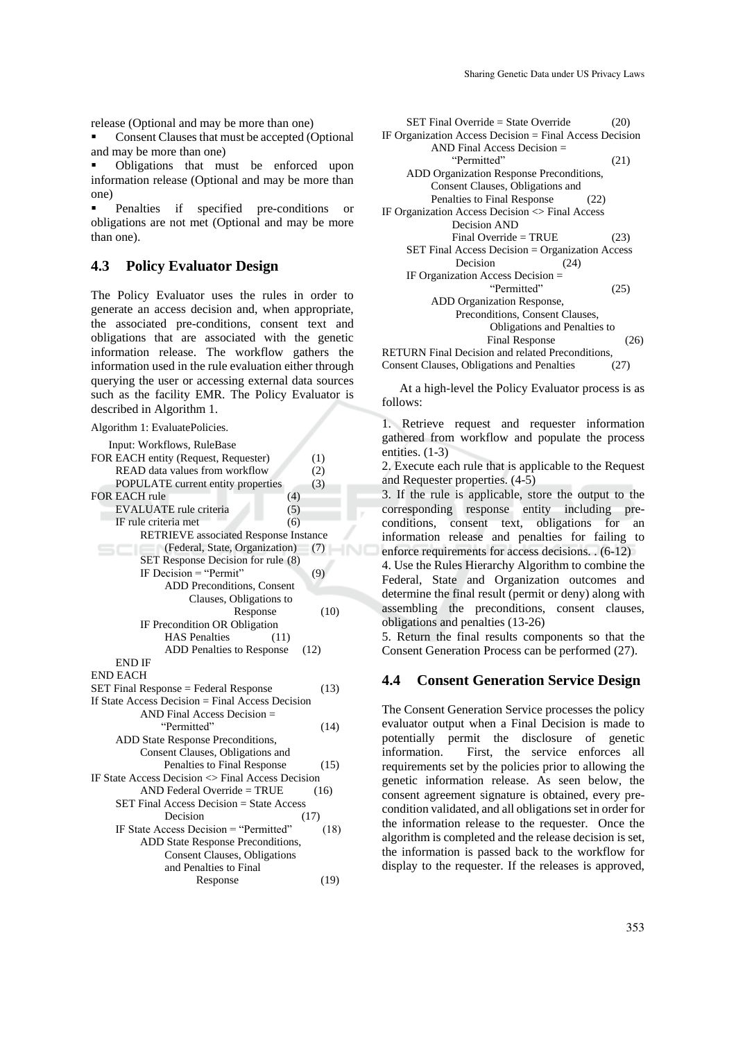release (Optional and may be more than one)

Consent Clauses that must be accepted (Optional and may be more than one)

▪ Obligations that must be enforced upon information release (Optional and may be more than one)

Penalties if specified pre-conditions or obligations are not met (Optional and may be more than one).

### **4.3 Policy Evaluator Design**

The Policy Evaluator uses the rules in order to generate an access decision and, when appropriate, the associated pre-conditions, consent text and obligations that are associated with the genetic information release. The workflow gathers the information used in the rule evaluation either through querying the user or accessing external data sources such as the facility EMR. The Policy Evaluator is described in Algorithm 1.

Algorithm 1: EvaluatePolicies.

| Input: Workflows, RuleBase                                       |      |
|------------------------------------------------------------------|------|
| FOR EACH entity (Request, Requester)                             | (1)  |
| READ data values from workflow                                   | (2)  |
| POPULATE current entity properties                               | (3)  |
| <b>FOR EACH rule</b><br>(4)                                      |      |
| <b>EVALUATE</b> rule criteria<br>(5)                             |      |
| IF rule criteria met<br>(6)                                      |      |
| <b>RETRIEVE</b> associated Response Instance                     |      |
| (Federal, State, Organization)                                   | (7)  |
| SET Response Decision for rule (8)                               |      |
| IF Decision $=$ "Permit"                                         | (9)  |
| <b>ADD Preconditions, Consent</b>                                |      |
| Clauses, Obligations to                                          |      |
| Response                                                         | (10) |
| IF Precondition OR Obligation                                    |      |
| <b>HAS</b> Penalties<br>(11)                                     |      |
| <b>ADD</b> Penalties to Response                                 | (12) |
| <b>END IF</b>                                                    |      |
| <b>END EACH</b>                                                  |      |
| SET Final Response = Federal Response                            | (13) |
| If State Access Decision $=$ Final Access Decision               |      |
| $AND$ Final Access Decision $=$                                  |      |
| "Permitted"                                                      | (14) |
| ADD State Response Preconditions,                                |      |
| Consent Clauses, Obligations and                                 |      |
| Penalties to Final Response                                      | (15) |
| IF State Access Decision $\langle \rangle$ Final Access Decision |      |
| $AND$ Federal Override = TRUE                                    | (16) |
| <b>SET Final Access Decision = State Access</b>                  |      |
| Decision                                                         | (17) |
| IF State Access Decision = "Permitted"                           | (18) |
| ADD State Response Preconditions,                                |      |
| Consent Clauses, Obligations                                     |      |
| and Penalties to Final                                           |      |
|                                                                  |      |

| SET Final Override = State Override                       | (20)          |
|-----------------------------------------------------------|---------------|
|                                                           |               |
| IF Organization Access Decision $=$ Final Access Decision |               |
| AND Final Access Decision $=$                             |               |
| "Permitted"                                               | (21)          |
| ADD Organization Response Preconditions,                  |               |
| Consent Clauses, Obligations and                          |               |
| Penalties to Final Response<br>(22)                       |               |
| IF Organization Access Decision $\langle$ > Final Access  |               |
| Decision AND                                              |               |
| Final Override = $TRUE$                                   | (23)          |
| SET Final Access Decision = Organization Access           |               |
| Decision<br>(24)                                          |               |
| IF Organization Access Decision $=$                       |               |
| "Permitted"                                               | (25)          |
| ADD Organization Response,                                |               |
| Preconditions, Consent Clauses,                           |               |
| Obligations and Penalties to                              |               |
| <b>Final Response</b>                                     | <sup>26</sup> |
| <b>RETURN</b> Final Decision and related Preconditions,   |               |

Consent Clauses, Obligations and Penalties (27)

At a high-level the Policy Evaluator process is as follows:

1. Retrieve request and requester information gathered from workflow and populate the process entities.  $(1-3)$ 

2. Execute each rule that is applicable to the Request and Requester properties. (4-5)

3. If the rule is applicable, store the output to the corresponding response entity including preconditions, consent text, obligations for an information release and penalties for failing to enforce requirements for access decisions. . (6-12)

4. Use the Rules Hierarchy Algorithm to combine the Federal, State and Organization outcomes and determine the final result (permit or deny) along with assembling the preconditions, consent clauses, obligations and penalties (13-26)

5. Return the final results components so that the Consent Generation Process can be performed (27).

#### **4.4 Consent Generation Service Design**

The Consent Generation Service processes the policy evaluator output when a Final Decision is made to potentially permit the disclosure of genetic information. First, the service enforces all requirements set by the policies prior to allowing the genetic information release. As seen below, the consent agreement signature is obtained, every precondition validated, and all obligations set in order for the information release to the requester. Once the algorithm is completed and the release decision is set, the information is passed back to the workflow for display to the requester. If the releases is approved,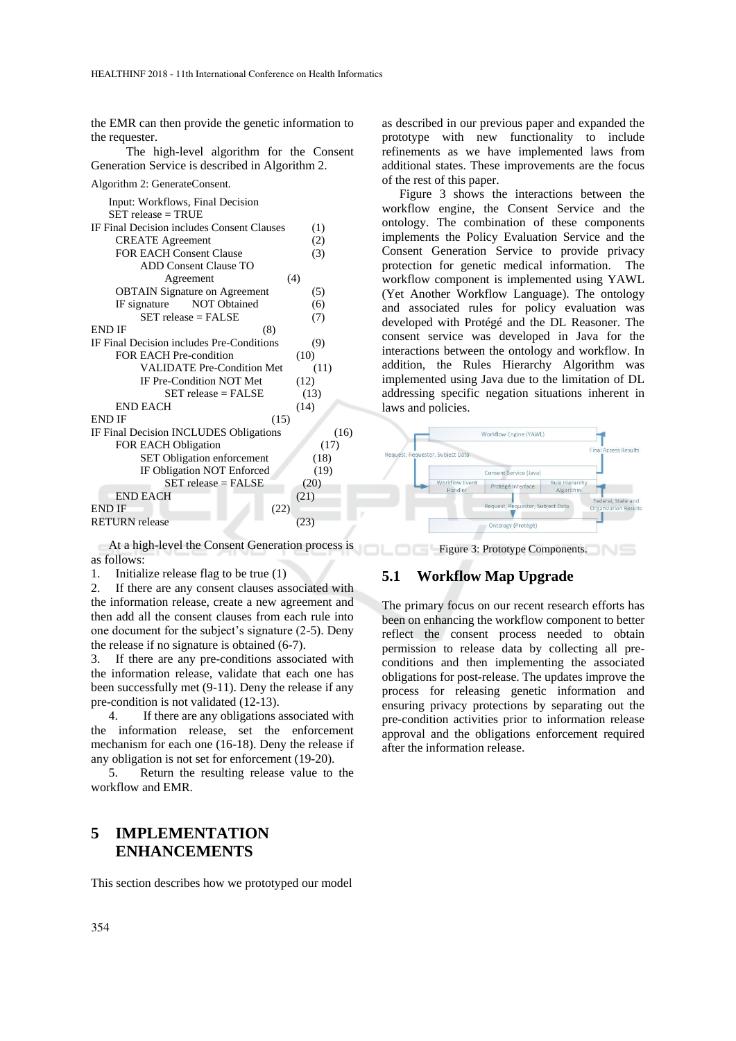the EMR can then provide the genetic information to the requester.

The high-level algorithm for the Consent Generation Service is described in Algorithm 2.

| Algorithm 2: GenerateConsent.              |      |
|--------------------------------------------|------|
| Input: Workflows, Final Decision           |      |
| $SET$ release = TRUE                       |      |
| IF Final Decision includes Consent Clauses | (1)  |
| <b>CREATE</b> Agreement                    | (2)  |
| <b>FOR EACH Consent Clause</b>             | (3)  |
| <b>ADD Consent Clause TO</b>               |      |
| (4)<br>Agreement                           |      |
| <b>OBTAIN Signature on Agreement</b>       | (5)  |
| NOT Obtained<br>IF signature               | (6)  |
| $SET$ release = FALSE                      | (7)  |
| <b>END IF</b><br>(8)                       |      |
| IF Final Decision includes Pre-Conditions  | (9)  |
| <b>FOR EACH Pre-condition</b><br>(10)      |      |
| <b>VALIDATE Pre-Condition Met</b>          | (11) |
| IF Pre-Condition NOT Met<br>(12)           |      |
| $SET$ release = $FALSE$<br>(13)            |      |
| (14)<br><b>END EACH</b>                    |      |
| <b>END IF</b><br>(15)                      |      |
| IF Final Decision INCLUDES Obligations     | (16) |
| <b>FOR EACH Obligation</b>                 | (17) |
| SET Obligation enforcement                 | (18) |
| IF Obligation NOT Enforced                 | (19) |
| $SET$ release = $FALSE$<br>(20)            |      |
| <b>END EACH</b><br>(21)                    |      |
| END IF<br>(22)                             |      |
| <b>RETURN</b> release<br>(23)              |      |

At a high-level the Consent Generation process is as follows:

1. Initialize release flag to be true (1)

2. If there are any consent clauses associated with the information release, create a new agreement and then add all the consent clauses from each rule into one document for the subject's signature (2-5). Deny the release if no signature is obtained (6-7).

3. If there are any pre-conditions associated with the information release, validate that each one has been successfully met (9-11). Deny the release if any pre-condition is not validated (12-13).

4. If there are any obligations associated with the information release, set the enforcement mechanism for each one (16-18). Deny the release if any obligation is not set for enforcement (19-20).

5. Return the resulting release value to the workflow and EMR.

## **5 IMPLEMENTATION ENHANCEMENTS**

This section describes how we prototyped our model

as described in our previous paper and expanded the prototype with new functionality to include refinements as we have implemented laws from additional states. These improvements are the focus of the rest of this paper.

Figure 3 shows the interactions between the workflow engine, the Consent Service and the ontology. The combination of these components implements the Policy Evaluation Service and the Consent Generation Service to provide privacy protection for genetic medical information. The workflow component is implemented using YAWL (Yet Another Workflow Language). The ontology and associated rules for policy evaluation was developed with Protégé and the DL Reasoner. The consent service was developed in Java for the interactions between the ontology and workflow. In addition, the Rules Hierarchy Algorithm was implemented using Java due to the limitation of DL addressing specific negation situations inherent in laws and policies.



**Figure 3: Prototype Components.** 

### **5.1 Workflow Map Upgrade**

The primary focus on our recent research efforts has been on enhancing the workflow component to better reflect the consent process needed to obtain permission to release data by collecting all preconditions and then implementing the associated obligations for post-release. The updates improve the process for releasing genetic information and ensuring privacy protections by separating out the pre-condition activities prior to information release approval and the obligations enforcement required after the information release.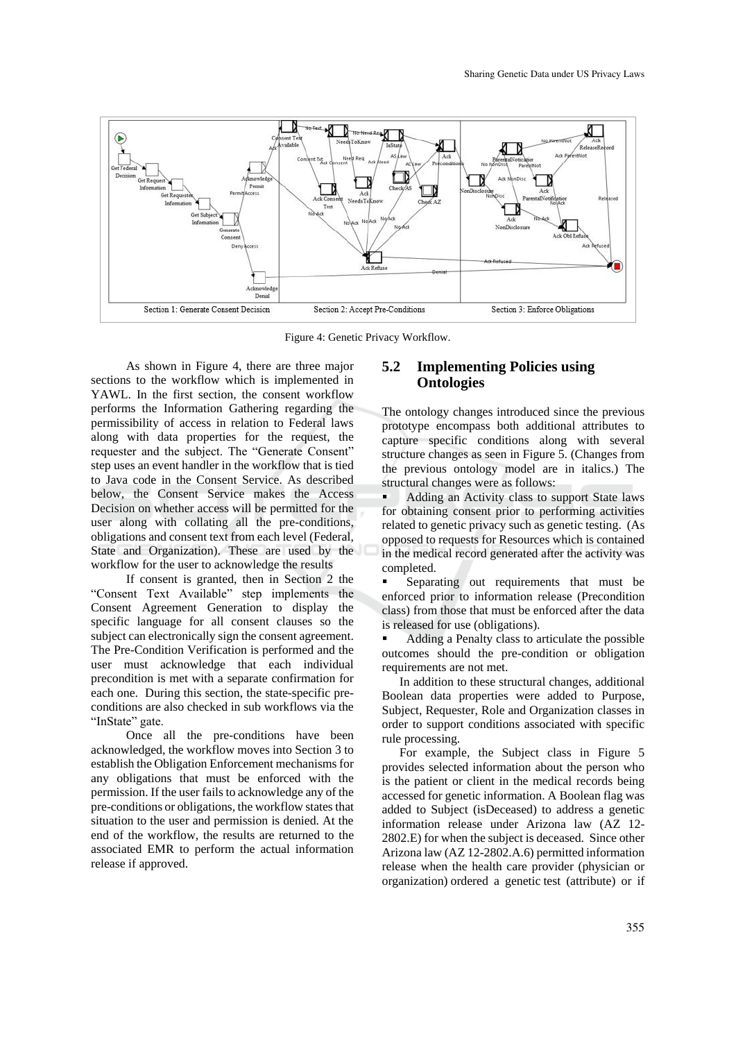

Figure 4: Genetic Privacy Workflow.

As shown in Figure 4, there are three major sections to the workflow which is implemented in YAWL. In the first section, the consent workflow performs the Information Gathering regarding the permissibility of access in relation to Federal laws along with data properties for the request, the requester and the subject. The "Generate Consent" step uses an event handler in the workflow that is tied to Java code in the Consent Service. As described below, the Consent Service makes the Access Decision on whether access will be permitted for the user along with collating all the pre-conditions, obligations and consent text from each level (Federal, State and Organization). These are used by the workflow for the user to acknowledge the results

If consent is granted, then in Section 2 the "Consent Text Available" step implements the Consent Agreement Generation to display the specific language for all consent clauses so the subject can electronically sign the consent agreement. The Pre-Condition Verification is performed and the user must acknowledge that each individual precondition is met with a separate confirmation for each one. During this section, the state-specific preconditions are also checked in sub workflows via the "InState" gate.

Once all the pre-conditions have been acknowledged, the workflow moves into Section 3 to establish the Obligation Enforcement mechanisms for any obligations that must be enforced with the permission. If the user fails to acknowledge any of the pre-conditions or obligations, the workflow states that situation to the user and permission is denied. At the end of the workflow, the results are returned to the associated EMR to perform the actual information release if approved.

### **5.2 Implementing Policies using Ontologies**

The ontology changes introduced since the previous prototype encompass both additional attributes to capture specific conditions along with several structure changes as seen in Figure 5. (Changes from the previous ontology model are in italics.) The structural changes were as follows:

Adding an Activity class to support State laws for obtaining consent prior to performing activities related to genetic privacy such as genetic testing. (As opposed to requests for Resources which is contained in the medical record generated after the activity was completed.

Separating out requirements that must be enforced prior to information release (Precondition class) from those that must be enforced after the data is released for use (obligations).

Adding a Penalty class to articulate the possible outcomes should the pre-condition or obligation requirements are not met.

In addition to these structural changes, additional Boolean data properties were added to Purpose, Subject, Requester, Role and Organization classes in order to support conditions associated with specific rule processing.

For example, the Subject class in Figure 5 provides selected information about the person who is the patient or client in the medical records being accessed for genetic information. A Boolean flag was added to Subject (isDeceased) to address a genetic information release under Arizona law (AZ 12- 2802.E) for when the subject is deceased. Since other Arizona law (AZ 12-2802.A.6) permitted information release when the health care provider (physician or organization) ordered a genetic test (attribute) or if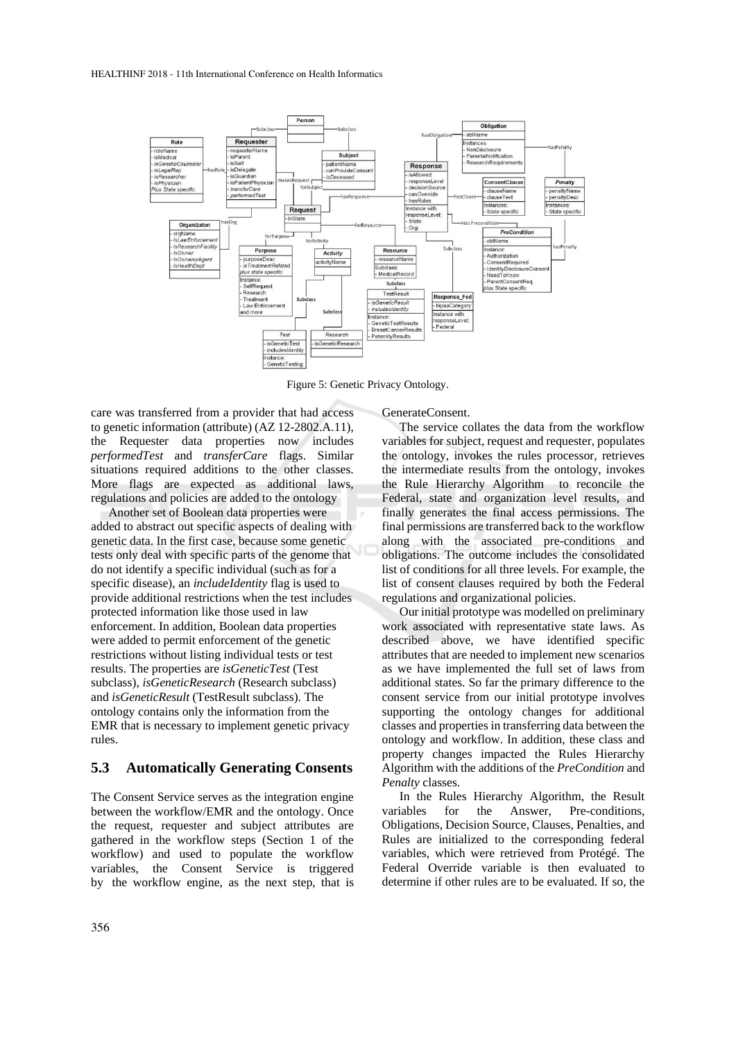

Figure 5: Genetic Privacy Ontology.

care was transferred from a provider that had access to genetic information (attribute) (AZ 12-2802.A.11), the Requester data properties now includes *performedTest* and *transferCare* flags. Similar situations required additions to the other classes. More flags are expected as additional laws, regulations and policies are added to the ontology

Another set of Boolean data properties were added to abstract out specific aspects of dealing with genetic data. In the first case, because some genetic tests only deal with specific parts of the genome that do not identify a specific individual (such as for a specific disease), an *includeIdentity* flag is used to provide additional restrictions when the test includes protected information like those used in law enforcement. In addition, Boolean data properties were added to permit enforcement of the genetic restrictions without listing individual tests or test results. The properties are *isGeneticTest* (Test subclass), *isGeneticResearch* (Research subclass) and *isGeneticResult* (TestResult subclass). The ontology contains only the information from the EMR that is necessary to implement genetic privacy rules.

#### **5.3 Automatically Generating Consents**

The Consent Service serves as the integration engine between the workflow/EMR and the ontology. Once the request, requester and subject attributes are gathered in the workflow steps (Section 1 of the workflow) and used to populate the workflow variables, the Consent Service is triggered by the workflow engine, as the next step, that is

GenerateConsent.

The service collates the data from the workflow variables for subject, request and requester, populates the ontology, invokes the rules processor, retrieves the intermediate results from the ontology, invokes the Rule Hierarchy Algorithm to reconcile the Federal, state and organization level results, and finally generates the final access permissions. The final permissions are transferred back to the workflow along with the associated pre-conditions and obligations. The outcome includes the consolidated list of conditions for all three levels. For example, the list of consent clauses required by both the Federal regulations and organizational policies.

Our initial prototype was modelled on preliminary work associated with representative state laws. As described above, we have identified specific attributes that are needed to implement new scenarios as we have implemented the full set of laws from additional states. So far the primary difference to the consent service from our initial prototype involves supporting the ontology changes for additional classes and properties in transferring data between the ontology and workflow. In addition, these class and property changes impacted the Rules Hierarchy Algorithm with the additions of the *PreCondition* and *Penalty* classes.

In the Rules Hierarchy Algorithm, the Result variables for the Answer, Pre-conditions, Obligations, Decision Source, Clauses, Penalties, and Rules are initialized to the corresponding federal variables, which were retrieved from Protégé. The Federal Override variable is then evaluated to determine if other rules are to be evaluated. If so, the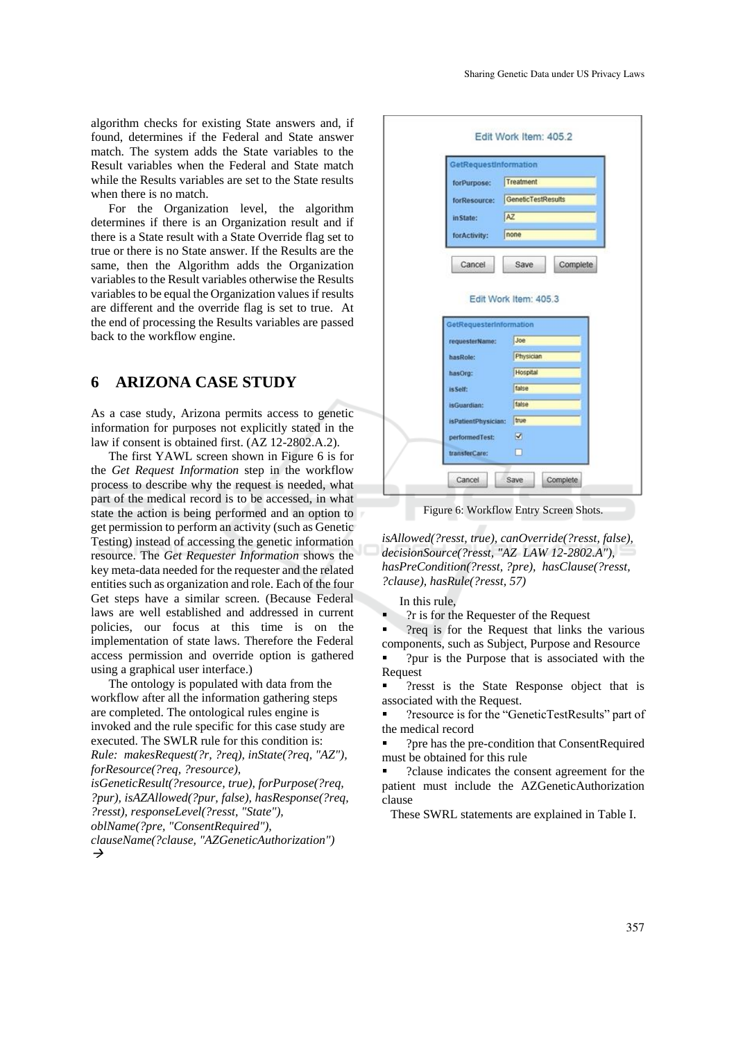algorithm checks for existing State answers and, if found, determines if the Federal and State answer match. The system adds the State variables to the Result variables when the Federal and State match while the Results variables are set to the State results when there is no match.

For the Organization level, the algorithm determines if there is an Organization result and if there is a State result with a State Override flag set to true or there is no State answer. If the Results are the same, then the Algorithm adds the Organization variables to the Result variables otherwise the Results variables to be equal the Organization values if results are different and the override flag is set to true. At the end of processing the Results variables are passed back to the workflow engine.

## **6 ARIZONA CASE STUDY**

As a case study, Arizona permits access to genetic information for purposes not explicitly stated in the law if consent is obtained first. (AZ 12-2802.A.2).

The first YAWL screen shown in Figure 6 is for the *Get Request Information* step in the workflow process to describe why the request is needed, what part of the medical record is to be accessed, in what state the action is being performed and an option to get permission to perform an activity (such as Genetic Testing) instead of accessing the genetic information resource. The *Get Requester Information* shows the key meta-data needed for the requester and the related entities such as organization and role. Each of the four Get steps have a similar screen. (Because Federal laws are well established and addressed in current policies, our focus at this time is on the implementation of state laws. Therefore the Federal access permission and override option is gathered using a graphical user interface.)

The ontology is populated with data from the workflow after all the information gathering steps are completed. The ontological rules engine is invoked and the rule specific for this case study are executed. The SWLR rule for this condition is: *Rule: makesRequest(?r, ?req), inState(?req, "AZ"), forResource(?req, ?resource), isGeneticResult(?resource, true), forPurpose(?req, ?pur), isAZAllowed(?pur, false), hasResponse(?req,* 

*?resst), responseLevel(?resst, "State"), oblName(?pre, "ConsentRequired"),* 

*clauseName(?clause, "AZGeneticAuthorization")*   $\rightarrow$ 



Figure 6: Workflow Entry Screen Shots.

*isAllowed(?resst, true), canOverride(?resst, false), decisionSource(?resst, "AZ LAW 12-2802.A"), hasPreCondition(?resst, ?pre), hasClause(?resst, ?clause), hasRule(?resst, 57)*

In this rule,

?r is for the Requester of the Request

?req is for the Request that links the various components, such as Subject, Purpose and Resource

?pur is the Purpose that is associated with the Request

Presst is the State Response object that is associated with the Request.

?resource is for the "GeneticTestResults" part of the medical record

?pre has the pre-condition that ConsentRequired must be obtained for this rule

?clause indicates the consent agreement for the patient must include the AZGeneticAuthorization clause

These SWRL statements are explained in Table I.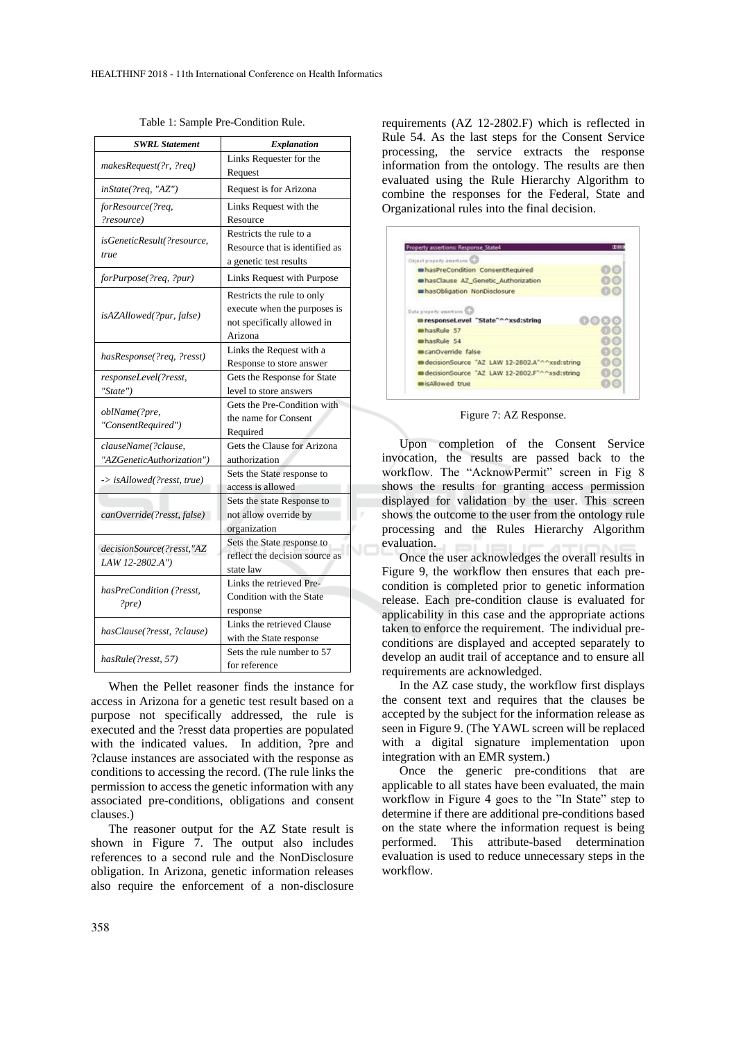| <b>SWRL Statement</b>      | Explanation                    |
|----------------------------|--------------------------------|
|                            | Links Requester for the        |
| makesRequest(?r, ?req)     | Request                        |
| inState(?req, "AZ")        | Request is for Arizona         |
| forResource(?req,          | Links Request with the         |
| ?resource)                 | Resource                       |
| isGeneticResult(?resource, | Restricts the rule to a        |
| true                       | Resource that is identified as |
|                            | a genetic test results         |
| forPurpose(?req, ?pur)     | Links Request with Purpose     |
|                            | Restricts the rule to only     |
| isAZAllowed(?pur, false)   | execute when the purposes is   |
|                            | not specifically allowed in    |
|                            | Arizona                        |
| hasResponse(?req, ?resst)  | Links the Request with a       |
|                            | Response to store answer       |
| responseLevel(?resst,      | Gets the Response for State    |
| "State")                   | level to store answers         |
| oblName(?pre,              | Gets the Pre-Condition with    |
| "ConsentRequired")         | the name for Consent           |
|                            | Required                       |
| clauseName(?clause,        | Gets the Clause for Arizona    |
| "AZGeneticAuthorization")  | authorization                  |
| -> isAllowed(?resst, true) | Sets the State response to     |
|                            | access is allowed              |
|                            | Sets the state Response to     |
| canOverride(?resst, false) | not allow override by          |
|                            | organization                   |
| decisionSource(?resst,"AZ  | Sets the State response to     |
| LAW 12-2802.A")            | reflect the decision source as |
|                            | state law                      |
| hasPreCondition (?resst,   | Links the retrieved Pre-       |
| ?pre)                      | Condition with the State       |
|                            | response                       |
| hasClause(?resst, ?clause) | Links the retrieved Clause     |
|                            | with the State response        |
| hasRule(?resst, 57)        | Sets the rule number to 57     |
|                            | for reference                  |

Table 1: Sample Pre-Condition Rule.

When the Pellet reasoner finds the instance for access in Arizona for a genetic test result based on a purpose not specifically addressed, the rule is executed and the ?resst data properties are populated with the indicated values. In addition, ?pre and ?clause instances are associated with the response as conditions to accessing the record. (The rule links the permission to access the genetic information with any associated pre-conditions, obligations and consent clauses.)

The reasoner output for the AZ State result is shown in Figure 7. The output also includes references to a second rule and the NonDisclosure obligation. In Arizona, genetic information releases also require the enforcement of a non-disclosure requirements (AZ 12-2802.F) which is reflected in Rule 54. As the last steps for the Consent Service processing, the service extracts the response information from the ontology. The results are then evaluated using the Rule Hierarchy Algorithm to combine the responses for the Federal, State and Organizational rules into the final decision.

| Property assertions: Response State4          | 正日 |
|-----------------------------------------------|----|
| Object pipperly assertions                    |    |
| mhasPreCondition ConsentReguired              |    |
| mhasClause AZ Genetic Authorization           |    |
| a hasObligation NonDisclosure                 |    |
|                                               |    |
| mhasRule 57                                   |    |
| mhasRule 54                                   |    |
| canOverride false                             |    |
| decisionSource "AZ_LAW_12-2802.A"^^xsd:string |    |
| decisionSource "AZ_LAW_12-2802.F"^^xsd:string |    |
|                                               |    |

Figure 7: AZ Response.

Upon completion of the Consent Service invocation, the results are passed back to the workflow. The "AcknowPermit" screen in Fig 8 shows the results for granting access permission displayed for validation by the user. This screen shows the outcome to the user from the ontology rule processing and the Rules Hierarchy Algorithm evaluation.

Once the user acknowledges the overall results in Figure 9, the workflow then ensures that each precondition is completed prior to genetic information release. Each pre-condition clause is evaluated for applicability in this case and the appropriate actions taken to enforce the requirement. The individual preconditions are displayed and accepted separately to develop an audit trail of acceptance and to ensure all requirements are acknowledged.

In the AZ case study, the workflow first displays the consent text and requires that the clauses be accepted by the subject for the information release as seen in Figure 9. (The YAWL screen will be replaced with a digital signature implementation upon integration with an EMR system.)

Once the generic pre-conditions that are applicable to all states have been evaluated, the main workflow in Figure 4 goes to the "In State" step to determine if there are additional pre-conditions based on the state where the information request is being performed. This attribute-based determination evaluation is used to reduce unnecessary steps in the workflow.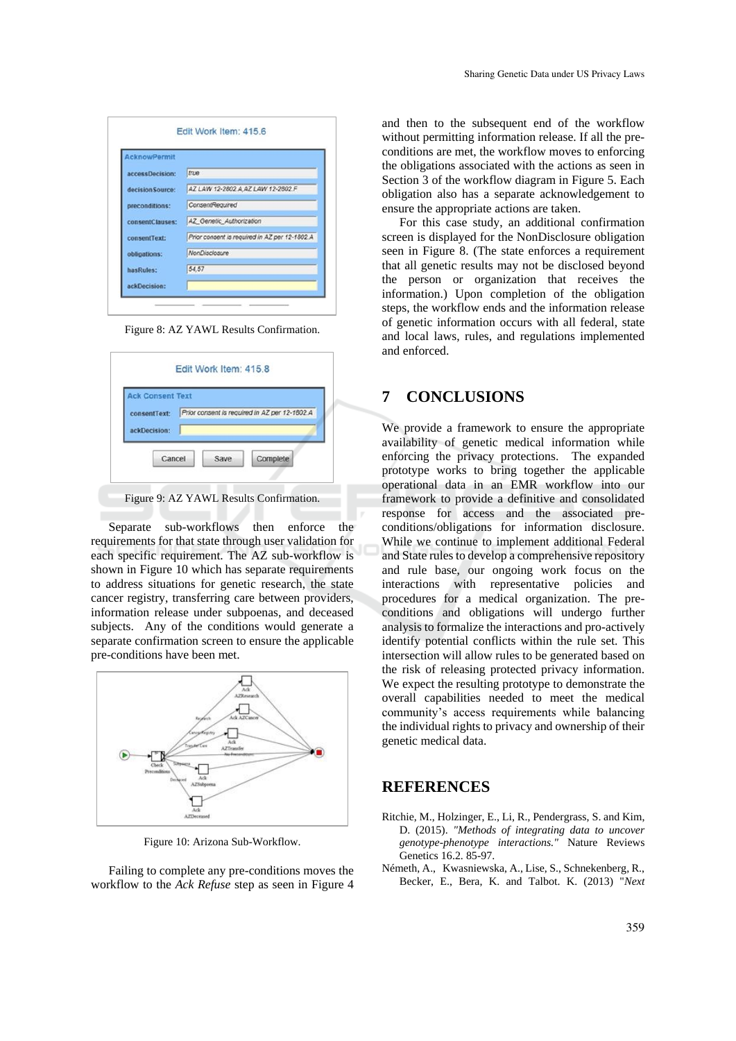| <b>AcknowPermit</b> |                                               |
|---------------------|-----------------------------------------------|
| accessDecision:     | true                                          |
| decision Source:    | AZ LAW 12-2802 A AZ LAW 12-2802 F             |
| preconditions:      | ConsentRequired                               |
| consentClauses:     | AZ Genetic Authorization                      |
| consentText:        | Prior consent is required in AZ per 12-1802 A |
| obligations:        | NonDisclosure                                 |
| hasRules:           | 54,57                                         |
| ackDecision:        |                                               |

Figure 8: AZ YAWL Results Confirmation.

| <b>Ack Consent Text</b> |                                               |  |
|-------------------------|-----------------------------------------------|--|
| consentText:            | Prior consent is required in AZ per 12-1802.A |  |
| ackDecision:            |                                               |  |
|                         |                                               |  |

Figure 9: AZ YAWL Results Confirmation.

Separate sub-workflows then enforce the requirements for that state through user validation for each specific requirement. The AZ sub-workflow is shown in Figure 10 which has separate requirements to address situations for genetic research, the state cancer registry, transferring care between providers, information release under subpoenas, and deceased subjects. Any of the conditions would generate a separate confirmation screen to ensure the applicable pre-conditions have been met.



Figure 10: Arizona Sub-Workflow.

Failing to complete any pre-conditions moves the workflow to the *Ack Refuse* step as seen in Figure 4

and then to the subsequent end of the workflow without permitting information release. If all the preconditions are met, the workflow moves to enforcing the obligations associated with the actions as seen in Section 3 of the workflow diagram in Figure 5. Each obligation also has a separate acknowledgement to ensure the appropriate actions are taken.

For this case study, an additional confirmation screen is displayed for the NonDisclosure obligation seen in Figure 8. (The state enforces a requirement that all genetic results may not be disclosed beyond the person or organization that receives the information.) Upon completion of the obligation steps, the workflow ends and the information release of genetic information occurs with all federal, state and local laws, rules, and regulations implemented and enforced.

## **7 CONCLUSIONS**

We provide a framework to ensure the appropriate availability of genetic medical information while enforcing the privacy protections. The expanded prototype works to bring together the applicable operational data in an EMR workflow into our framework to provide a definitive and consolidated response for access and the associated preconditions/obligations for information disclosure. While we continue to implement additional Federal and State rules to develop a comprehensive repository and rule base, our ongoing work focus on the interactions with representative policies and procedures for a medical organization. The preconditions and obligations will undergo further analysis to formalize the interactions and pro-actively identify potential conflicts within the rule set. This intersection will allow rules to be generated based on the risk of releasing protected privacy information. We expect the resulting prototype to demonstrate the overall capabilities needed to meet the medical community's access requirements while balancing the individual rights to privacy and ownership of their genetic medical data.

#### **REFERENCES**

- Ritchie, M., Holzinger, E., Li, R., Pendergrass, S. and Kim, D. (2015). *"Methods of integrating data to uncover genotype-phenotype interactions."* Nature Reviews Genetics 16.2. 85-97.
- Németh, A., Kwasniewska, A., Lise, S., Schnekenberg, R., Becker, E., Bera, K. and Talbot. K. (2013) "*Next*